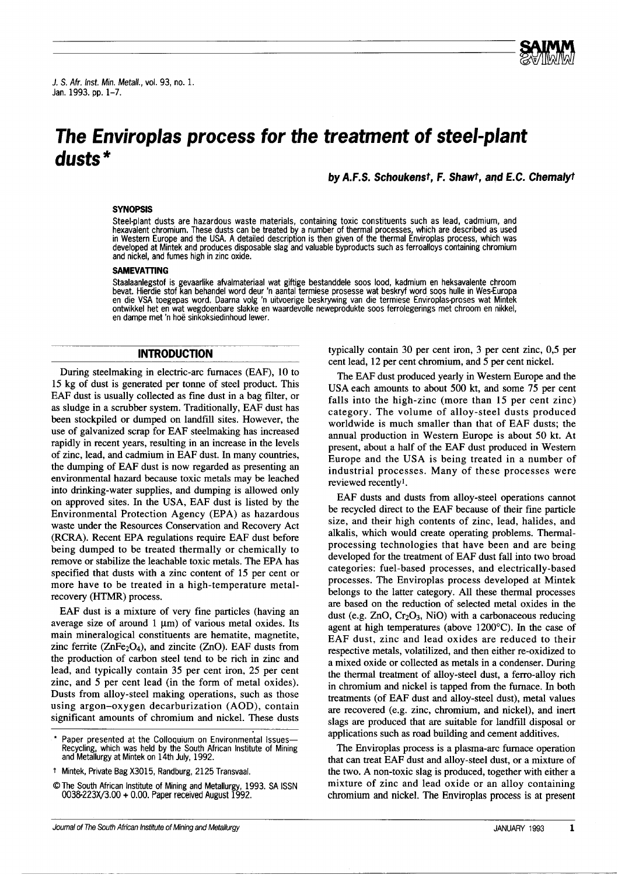J. S. Afr. Inst. Min. Metall., vol. 93, no. 1. Jan. 1993. pp. 1-7.

# **The Env;roplas process for the treatment of steel-plant dusts '"**

**by** A.F.S. Schoukenst, F. Shawt, and E.C. Chemalyt

**ed** 

## **SYNOPSIS**

Steel-plant dusts are hazardous waste materials, containing toxic constituents such as lead, cadmium, and hexavalent chromium. These dusts can be treated by a number of thermal processes, which are described as used in Western Europe and the USA. A detailed description is then given of the thermal Enviroplas process, which was developed at Mintek and produces disposable slag and valuable byproducts such as ferroalloys containing chromium and nickel, and fumes high in zinc oxide.

#### **SAMEVATIlNG**

Staalaanlegstof is gevaarlike afvalmateriaal wat giftige bestanddele soos lood, kadmium en heksavalente chroom<br>bevat. Hierdie stof kan behandel word deur 'n aantal termiese prosesse wat beskryf word soos hulle in Wes-Europ en die VSA toegepas word. Daarna volg 'n uitvoerige beskrywing van die termiese Enviroplas-proses wat Mintek ontwikkel het en wat wegdoenbare slakke en waardevolle neweprodukte soos ferrolegenngs met chroom en nlkkel, en dampe met 'n hoe sinkoksiedinhoud lewer.

#### **INTRODUCTION**

During steelmaking in electric-arc furnaces (EAF), 10 to 15 kg of dust is generated per tonne of steel product. This EAF dust is usually collected as fine dust in a bag filter, or as sludge in a scrubber system. Traditionally, EAF dust has been stockpiled or dumped on landfill sites. However, the use of galvanized scrap for EAF steelmaking has increased rapidly in recent years, resulting in an increase in the levels of zinc, lead, and cadmium in EAF dust. In many countries, the dumping of EAF dust is now regarded as presenting an environmental hazard because toxic metals may be leached into drinking-water supplies, and dumping is allowed only on approved sites. In the USA, EAF dust is listed by the Environmental Protection Agency (EPA) as hazardous waste under the Resources Conservation and Recovery Act (RCRA). Recent EPA regulations require EAF dust before being dumped to be treated thermally or chemically to remove or stabilize the leachable toxic metals. The EPA has specified that dusts with a zinc content of 15 per cent or more have to be treated in a high-temperature metalrecovery (HTMR) process.

EAF dust is a mixture of very fine particles (having an average size of around  $1 \mu m$  of various metal oxides. Its main mineralogical constituents are hematite, magnetite, zinc ferrite ( $ZnFe<sub>2</sub>O<sub>4</sub>$ ), and zincite ( $ZnO$ ). EAF dusts from the production of carbon steel tend to be rich in zinc and lead, and typically contain 35 per cent iron, 25 per cent zinc, and 5 per cent lead (in the form of metal oxides). Dusts from alloy-steel making operations, such as those using argon-oxygen decarburization (AOD), contain significant amounts of chromium and nickel. These dusts typically contain 30 per cent iron, 3 per cent zinc, 0,5 per cent lead, 12 per cent chromium, and 5 per cent nickel.

The EAF dust produced yearly in Western Europe and the USA each amounts to about 500 kt, and some 75 per cent falls into the high-zinc (more than 15 per cent zinc) category. The volume of alloy-steel dusts produced worldwide is much smaller than that of EAF dusts; the annual production in Western Europe is about 50 kt. At present, about a half of the EAF dust produced in Western Europe and the USA is being treated in a number of industrial processes. Many of these processes were reviewed recently!.

EAF dusts and dusts from alloy-steel operations cannot be recycled direct to the EAF because of their fine particle size, and their high contents of zinc, lead, halides, and alkalis, which would create operating problems. Thermalprocessing technologies that have been and are being developed for the treatment of EAF dust fall into two broad categories: fuel-based processes, and electrically-based processes. The Enviroplas process developed at Mintek belongs to the latter category. All these thermal processes are based on the reduction of selected metal oxides in the dust (e.g.  $ZnO$ ,  $Cr<sub>2</sub>O<sub>3</sub>$ , NiO) with a carbonaceous reducing agent at high temperatures (above 1200°C). In the case of EAF dust, zinc and lead oxides are reduced to their respective metals, volatilized, and then either re-oxidized to a mixed oxide or collected as metals in a condenser. During the thermal treatment of alloy-steel dust, a ferro-alloy rich in chromium and nickel is tapped from the furnace. In both treatments (of EAF dust and alloy-steel dust), metal values are recovered (e.g. zinc, chromium, and nickel), and inert slags are produced that are suitable for landfill disposal or applications such as road building and cement additives.

The Enviroplas process is a plasma-arc furnace operation that can treat EAF dust and alloy-steel dust, or a mixture of the two. A non-toxic slag is produced, together with either a mixture of zinc and lead oxide or an alloy containing chromium and nickel. The Enviroplas process is at present

Paper presented at the Colloquium on Environmental Issues-Recycling, which was held by the South African Institute of Mining and Metallurgy at Mintek on 14th July, 1992.

t Mintek, Private Bag X3015, Randburg, 2125 Transvaal.

<sup>@</sup>The South African Institute of Mining and Metallurgy, 1993. SA ISSN 0038-223X/3.00 + 0.00. Paper received August 1992.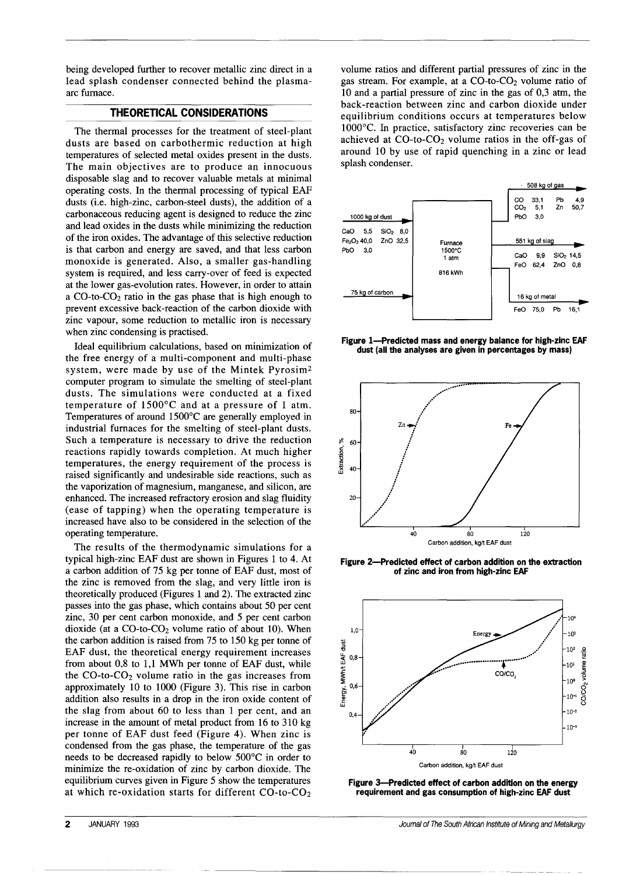being developed further to recover metallic zinc direct in a lead splash condenser connected behind the plasmaarc furnace.

## **THEORETICAL CONSIDERATIONS**

The thermal processes for the treatment of steel-plant dusts are based on carbothermic reduction at high temperatures of selected metal oxides present in the dusts. The main objectives are to produce an innocuous disposable slag and to recover valuable metals at minimal operating costs. In the thermal processing of typical EAF dusts (i.e. high-zinc, carbon-steel dusts), the addition of a carbonaceous reducing agent is designed to reduce the zinc and lead oxides in the dusts while minimizing the reduction of the iron oxides. The advantage of this selective reduction is that carbon and energy are saved, and that less carbon monoxide is generated. Also, a smaller gas-handling system is required, and less carry-over of feed is expected at the lower gas-evolution rates. However, in order to attain a CO-tO-CO2 ratio in the gas phase that is high enough to prevent excessive back-reaction of the carbon dioxide with zinc vapour, some reduction to metallic iron is necessary when zinc condensing is practised.

Ideal equilibrium calculations, based on minimization of the free energy of a multi-component and multi-phase system, were made by use of the Mintek Pyrosim2 computer program to simulate the smelting of steel-plant dusts. The simulations were conducted at a fixed temperature of 1500°C and at a pressure of 1 atm. Temperatures of around 1500°C are generally employed in industrial furnaces for the smelting of steel-plant dusts. Such a temperature is necessary to drive the reduction reactions rapidly towards completion. At much higher temperatures, the energy requirement of the process is raised significantly and undesirable side reactions, such as the vaporization of magnesium, manganese, and silicon, are enhanced. The increased refractory erosion and slag fluidity (ease of tapping) when the operating temperature is increased have also to be considered in the selection of the operating temperature.

The results of the thermodynamic simulations for a typical high-zinc EAF dust are shown in Figures 1 to 4. At a carbon addition of 75 kg per tonne of EAF dust, most of the zinc is removed from the slag, and very little iron is theoretically produced (Figures 1 and 2). The extracted zinc passes into the gas phase, which contains about 50 per cent zinc, 30 per cent carbon monoxide, and 5 per cent carbon dioxide (at a  $CO$ -to- $CO<sub>2</sub>$  volume ratio of about 10). When the carbon addition is raised from 75 to 150 kg per tonne of EAF dust, the theoretical energy requirement increases from about 0,8 to 1,1 MWh per tonne of EAF dust, while the  $CO$ -to- $CO<sub>2</sub>$  volume ratio in the gas increases from approximately 10 to 1000 (Figure 3). This rise in carbon addition also results in a drop in the iron oxide content of the slag from about 60 to less than 1 per cent, and an increase in the amount of metal product from 16 to 310 kg per tonne of EAF dust feed (Figure 4). When zinc is condensed from the gas phase, the temperature of the gas needs to be decreased rapidly to below 500°C in order to minimize the re-oxidation of zinc by carbon dioxide. The equilibrium curves given in Figure 5 show the temperatures at which re-oxidation starts for different  $CO$ -to- $CO<sub>2</sub>$ 

volume ratios and different partial pressures of zinc in the gas stream. For example, at a  $CO$ -to- $CO<sub>2</sub>$  volume ratio of 10 and a partial pressure of zinc in the gas of 0,3 atm, the back-reaction between zinc and carbon dioxide under equilibrium conditions occurs at temperatures below 1000°c. In practice, satisfactory zinc recoveries can be achieved at  $CO$ -to- $CO<sub>2</sub>$  volume ratios in the off-gas of around 10 by use of rapid quenching in a zinc or lead splash condenser.



**Figure I-Predicted mass and energy balance for high-zinc EAF dust (all the analyses are given in percentages by mass)**



**Figure 2-Predicted effect of carbon addition on the extraction of zinc and iron from high-zinc EAF**



**Figure 3-Predicted effect of carbon addition on the energy requirement and gas consumption of high-zinc EAF dust**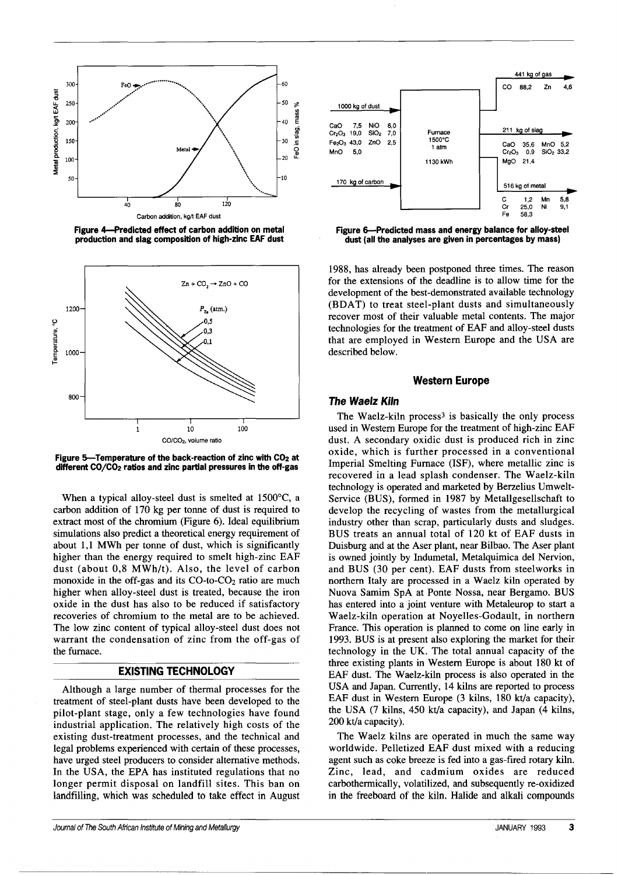

Figure 4-Predicted effect of carbon addition on metal production and slag composition of high-zinc EAF dust



Figure 5-Temperature of the back-reaction of zinc with  $CO<sub>2</sub>$  at different CO/CO2 ratios and zinc partial pressures in the off-gas

When a typical alloy-steel dust is smelted at 1500°C, a carbon addition of 170 kg per tonne of dust is required to extract most of the chromium (Figure 6). Ideal equilibrium simulations also predict a theoretical energy requirement of about 1,1 MWh per tonne of dust, which is significantly higher than the energy required to smelt high-zinc EAF dust (about 0,8 MWh/t). Also, the level of carbon monoxide in the off-gas and its  $CO$ -to- $CO<sub>2</sub>$  ratio are much higher when alloy-steel dust is treated, because the iron oxide in the dust has also to be reduced if satisfactory recoveries of chromium to the metal are to be achieved. The low zinc content of typical alloy-steel dust does not warrant the condensation of zinc from the off-gas of the furnace.

## EXISTING TECHNOLOGY

Although a large number of thermal processes for the treatment of steel-plant dusts have been developed to the pilot-plant stage, only a few technologies have found industrial application. The relatively high costs of the existing dust-treatment processes, and the technical and legal problems experienced with certain of these processes, have urged steel producers to consider alternative methods. In the USA, the EPA has instituted regulations that no longer permit disposal on landfill sites. This ban on landfilling, which was scheduled to take effect in August



Figure 6-Predicted mass and energy balance for alloy-steel dust (all the analyses are given in percentages by mass)

1988, has already been postponed three times. The reason for the extensions of the deadline is to allow time for the development of the best-demonstrated available technology (BDAT) to treat steel-plant dusts and simultaneously recover most of their valuable metal contents. The major technologies for the treatment of EAF and alloy-steel dusts that are employed in Western Europe and the USA are described below.

#### Western Europe

#### *The* Waelz Kiln

The Waelz-kiln process<sup>3</sup> is basically the only process used in Western Europe for the treatment of high-zinc EAF dust. A secondary oxidic dust is produced rich in zinc oxide, which is further processed in a conventional Imperial Smelting Furnace (lSF), where metallic zinc is recovered in a lead splash condenser. The Waelz-kiln technology is operated and marketed by Berzelius Umwelt-Service (BUS), formed in 1987 by Metallgesellschaft to develop the recycling of wastes from the metallurgical industry other than scrap, particularly dusts and sludges. BUS treats an annual total of 120 kt of EAF dusts in Duisburg and at the Aser plant, near Bilbao. The Aser plant is owned jointly by Indumetal, Metalquimica del Nervion, and BUS (30 per cent). EAF dusts from steelworks in northern Italy are processed in a Waelz kiln operated by Nuova Samim SpA at Ponte Nossa, near Bergamo. BUS has entered into a joint venture with Metaleurop to start a Waelz-kiln operation at Noyelles-Godault, in northern France. This operation is planned to come on line early in 1993. BUS is at present also exploring the market for their technology in the UK. The total annual capacity of the three existing plants in Western Europe is about 180 kt of EAF dust. The Waelz-kiln process is also operated in the USA and Japan. Currently, 14 kilns are reported to process EAF dust in Western Europe (3 kilns, 180 kt/a capacity), the USA (7 kilns, 450 kt/a capacity), and Japan (4 kilns, 200 kt/a capacity).

The Waelz kilns are operated in much the same way worldwide. Pelletized EAF dust mixed with a reducing agent such as coke breeze is fed into a gas-fired rotary kiln. Zinc, lead, and cadmium oxides are reduced carbothermically, volatilized, and subsequently re-oxidized in the freeboard of the kiln. Halide and alkali compounds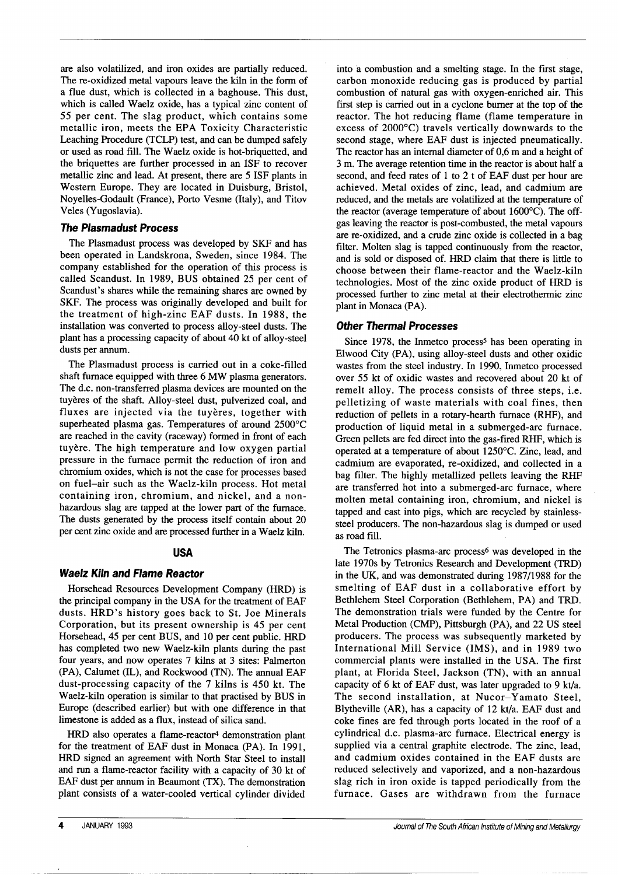are also volatilized, and iron oxides are partially reduced. The re-oxidized metal vapours leave the kiln in the form of a flue dust, which is collected in a baghouse. This dust, which is called Waelz oxide, has a typical zinc content of 55 per cent. The slag product, which contains some metallic iron, meets the EPA Toxicity Characteristic Leaching Procedure (TCLP) test, and can be dumped safely or used as road fill. The Waelz oxide is hot-briquetted, and the briquettes are further processed in an ISF to recover metallic zinc and lead. At present, there are 5 ISF plants in Western Europe. They are located in Duisburg, Bristol, Noyelles-Godault (France), Porto Vesme (Italy), and Titov Veles (Yugoslavia).

## *The Plasmadust Process*

The Plasmadust process was developed by SKF and has been operated in Landskrona, Sweden, since 1984. The company established for the operation of this process is called Scandust. In 1989, BUS obtained 25 per cent of Scandust's shares while the remaining shares are owned by SKF. The process was originally developed and built for the treatment of high-zinc EAF dusts. In 1988, the installation was converted to process alloy-steel dusts. The plant has a processing capacity of about 40 kt of alloy-steel dusts per annum.

The Plasmadust process is carried out in a coke-filled shaft furnace equipped with three 6 MW plasma generators. The d.c. non-transferred plasma devices are mounted on the tuyères of the shaft. Alloy-steel dust, pulverized coal, and fluxes are injected via the tuyères, together with superheated plasma gas. Temperatures of around 2500°C are reached in the cavity (raceway) formed in front of each tuyère. The high temperature and low oxygen partial pressure in the furnace permit the reduction of iron and chromium oxides, which is not the case for processes based on fuel-air such as the Waelz-kiln process. Hot metal containing iron, chromium, and nickel, and a nonhazardous slag are tapped at the lower part of the furnace. The dusts generated by the process itself contain about 20 per cent zinc oxide and are processed further in a Waelz kiln.

## **USA**

## **Waelz Kiln and Flame Reactor**

Horsehead Resources Development Company (HRD) is the principal company in the USA for the treatment of EAF dusts. HRD's history goes back to St. Joe Minerals Corporation, but its present ownership is 45 per cent Horsehead, 45 per cent BUS, and 10 per cent public. HRD has completed two new Waelz-kiln plants during the past four years, and now operates 7 kilns at 3 sites: Palmerton (PA), Calumet (IL), and Rockwood (TN). The annual EAF dust-processing capacity of the 7 kilns is 450 kt. The Waelz-kiln operation is similar to that practised by BUS in Europe (described earlier) but with one difference in that limestone is added as a flux, instead of silica sand.

HRD also operates a flame-reactor4 demonstration plant for the treatment of EAF dust in Monaca (PA). In 1991, HRD signed an agreement with North Star Steel to install and run a flame-reactor facility with a capacity of 30 kt of EAF dust per annum in Beaumont (TX). The demonstration plant consists of a water-cooled vertical cylinder divided

into a combustion and a smelting stage. In the first stage, carbon monoxide reducing gas is produced by partial combustion of natural gas with oxygen-enriched air. This first step is carried out in a cyclone burner at the top of the reactor. The hot reducing flame (flame temperature in excess of 2000°C) travels vertically downwards to the second stage, where EAF dust is injected pneumatically. The reactor has an internal diameter of 0,6 m and a height of 3 m. The average retention time in the reactor is about half a second, and feed rates of 1 to 2 t of EAF dust per hour are achieved. Metal oxides of zinc, lead, and cadmium are reduced, and the metals are volatilized at the temperature of the reactor (average temperature of about l600°C). The offgas leaving the reactor is post-combusted, the metal vapours are re-oxidized, and a crude zinc oxide is collected in a bag filter. Molten slag is tapped continuously from the reactor, and is sold or disposed of. HRD claim that there is little to choose between their flame-reactor and the Waelz-kiln technologies. Most of the zinc oxide product of HRD is processed further to zinc metal at their electrothermic zinc plant in Monaca (PA).

## *Other Thermal Processes*

Since 1978, the Inmetco process<sup>5</sup> has been operating in Elwood City (PA), using alloy-steel dusts and other oxidic wastes from the steel industry. In 1990, Inmetco processed over 55 kt of oxidic wastes and recovered about 20 kt of remelt alloy. The process consists of three steps, i.e. pelletizing of waste materials with coal fines, then reduction of pellets in a rotary-hearth furnace (RHF), and production of liquid metal in a submerged-arc furnace. Green pellets are fed direct into the gas-fired RHF, which is operated at a temperature of about 1250°c. Zinc, lead, and cadmium are evaporated, re-oxidized, and collected in a bag filter. The highly metallized pellets leaving the RHF are transferred hot into a submerged-arc furnace, where molten metal containing iron, chromium, and nickel is tapped and cast into pigs, which are recycled by stainlesssteel producers. The non-hazardous slag is dumped or used as road fill.

The Tetronics plasma-arc process<sup>6</sup> was developed in the late 1970s by Tetronics Research and Development (TRD) in the UK, and was demonstrated during 1987/1988 for the smelting of EAF dust in a collaborative effort by Bethlehem Steel Corporation (Bethlehem, PA) and TRD. The demonstration trials were funded by the Centre for Metal Production (CMP), Pittsburgh (PA), and 22 US steel producers. The process was subsequently marketed by International Mill Service (IMS), and in 1989 two commercial plants were installed in the USA. The first plant, at Florida Steel, Jackson (TN), with an annual capacity of 6 kt of EAF dust, was later upgraded to 9 kt/a. The second installation, at Nucor-Yamato Steel, Blytheville (AR), has a capacity of 12 kt/a. EAF dust and coke fines are fed through ports located in the roof of a cylindrical d.c. plasma-arc furnace. Electrical energy is supplied via a central graphite electrode. The zinc, lead, and cadmium oxides contained in the EAF dusts are reduced selectively and vaporized, and a non-hazardous slag rich in iron oxide is tapped periodically from the furnace. Gases are withdrawn from the furnace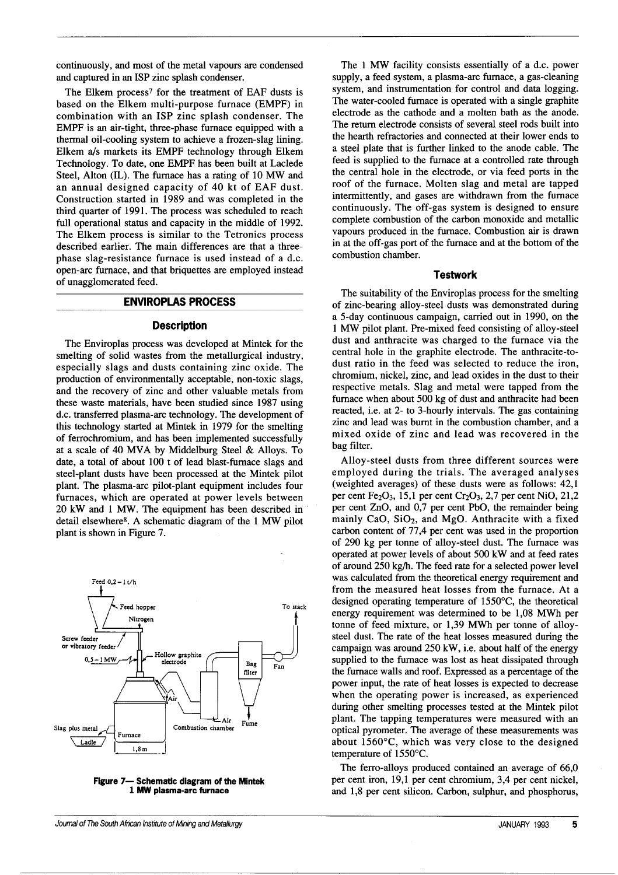continuously, and most of the metal vapours are condensed and captured in an ISP zinc splash condenser.

The Elkem process? for the treatment of EAF dusts is based on the Elkem multi-purpose furnace (EMPF) in combination with an ISP zinc splash condenser. The EMPF is an air-tight, three-phase furnace equipped with a thermal oil-cooling system to achieve a frozen-slag lining. Elkem a/s markets its EMPF technology through Elkem Technology. To date, one EMPF has been built at Laclede Steel, Alton (IL). The furnace has a rating of 10 MW and an annual designed capacity of 40 kt of EAF dust. Construction started in 1989 and was completed in the third quarter of 1991. The process was scheduled to reach full operational status and capacity in the middle of 1992. The Elkem process is similar to the Tetronics process described earlier. The main differences are that a threephase slag-resistance furnace is used instead of a d.c. open-arc furnace, and that briquettes are employed instead of unagglomerated feed.

#### **ENVIROPLAS PROCESS**

## **Description**

The Enviroplas process was developed at Mintek for the smelting of solid wastes from the metallurgical industry, especially slags and dusts containing zinc oxide. The production of environmentally acceptable, non-toxic slags, and the recovery of zinc and other valuable metals from these waste materials, have been studied since 1987 using d.c. transferred plasma-arc technology. The development of this technology started at Mintek in 1979 for the smelting of ferrochromium, and has been implemented successfully at a scale of 40 MVA by Middelburg Steel & Alloys. To date, a total of about 100 t of lead blast-furnace slags and steel-plant dusts have been processed at the Mintek pilot plant. The plasma-arc pilot-plant equipment includes four furnaces, which are operated at power levels between 20 kW and 1 MW. The equipment has been described in detail elsewhere8. A schematic diagram of the 1 MW pilot plant is shown in Figure 7.



**Figure 7- Schematic diagram of the Mintek** 1 MW **plasma-arc furnace**

The 1 MW facility consists essentially of a d.c. power supply, a feed system, a plasma-arc furnace, a gas-cleaning system, and instrumentation for control and data logging. The water-cooled furnace is operated with a single graphite electrode as the cathode and a molten bath as the anode. The return electrode consists of several steel rods built into the hearth refractories and connected at their lower ends to a steel plate that is further linked to the anode cable. The feed is supplied to the furnace at a controlled rate through the central hole in the electrode, or via feed ports in the roof of the furnace. Molten slag and metal are tapped intermittently, and gases are withdrawn from the furnace continuously. The off-gas system is designed to ensure complete combustion of the carbon monoxide and metallic vapours produced in the furnace. Combustion air is drawn in at the off-gas port of the furnace and at the bottom of the combustion chamber.

#### **Testwork**

The suitability of the Enviroplas process for the smelting of zinc-bearing alloy-steel dusts was demonstrated during a 5-day continuous campaign, carried out in 1990, on the 1 MW pilot plant. Pre-mixed feed consisting of alloy-steel dust and anthracite was charged to the furnace via the central hole in the graphite electrode. The anthracite-todust ratio in the feed was selected to reduce the iron, chromium, nickel, zinc, and lead oxides in the dust to their respective metals. Slag and metal were tapped from the furnace when about 500 kg of dust and anthracite had been reacted, i.e. at 2- to 3-hourly intervals. The gas containing zinc and lead was burnt in the combustion chamber, and a mixed oxide of zinc and lead was recovered in the bag filter.

Alloy-steel dusts from three different sources were employed during the trials. The averaged analyses (weighted averages) of these dusts were as follows: 42,1 per cent Fe<sub>2</sub>O<sub>3</sub>, 15,1 per cent Cr<sub>2</sub>O<sub>3</sub>, 2,7 per cent NiO, 21,2 per cent ZnO, and 0,7 per cent PbO, the remainder being mainly CaO,  $SiO<sub>2</sub>$ , and MgO. Anthracite with a fixed carbon content of 77,4 per cent was used in the proportion of 290 kg per tonne of alloy-steel dust. The furnace was operated at power levels of about 500 kW and at feed rates of around 250 kg/h. The feed rate for a selected power level was calculated from the theoretical energy requirement and from the measured heat losses from the furnace. At a designed operating temperature of 1550°C, the theoretical energy requirement was determined to be 1,08 MWh per tonne of feed mixture, or 1,39 MWh per tonne of alloysteel dust. The rate of the heat losses measured during the campaign was around 250 kW, i.e. about half of the energy supplied to the furnace was lost as heat dissipated through the furnace walls and roof. Expressed as a percentage of the power input, the rate of heat losses is expected to decrease when the operating power is increased, as experienced during other smelting processes tested at the Mintek pilot plant. The tapping temperatures were measured with an optical pyrometer. The average of these measurements was about 1560°C, which was very close to the designed temperature of 1550°c.

The ferro-alloys produced contained an average of 66,0 per cent iron, 19,1 per cent chromium, 3,4 per cent nickel, and 1,8 per cent silicon. Carbon, sulphur, and phosphorus,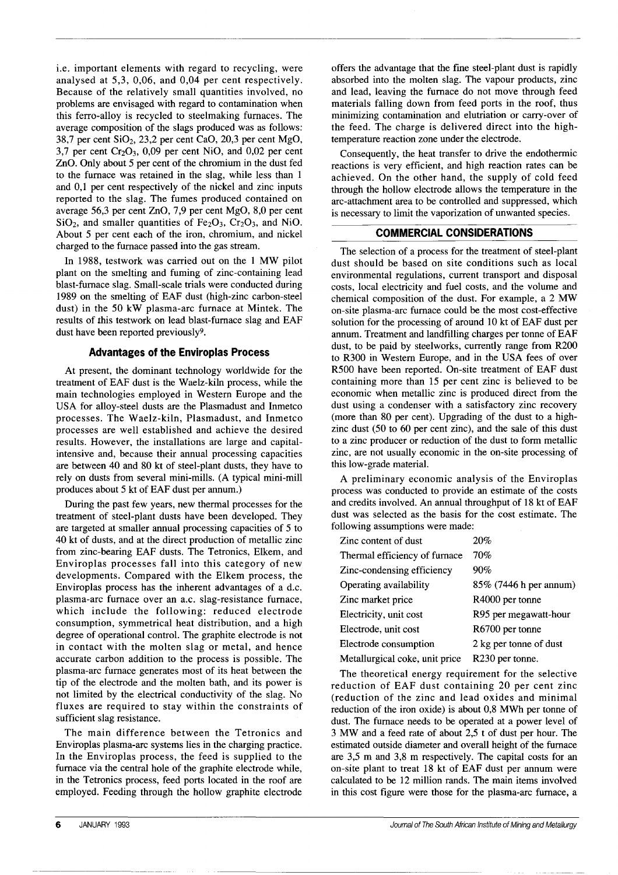i.e. important elements with regard to recycling, were analysed at 5,3, 0,06, and 0,04 per cent respectively. Because of the relatively small quantities involved, no problems are envisaged with regard to contamination when this ferro-alloy is recycled to steelmaking furnaces. The average composition of the slags produced was as follows: 38,7 per cent  $SiO<sub>2</sub>$ , 23,2 per cent CaO, 20,3 per cent MgO, 3,7 per cent  $Cr_2O_3$ , 0,09 per cent NiO, and 0,02 per cent ZnO. Only about 5 per cent of the chromium in the dust fed to the furnace was retained in the slag, while less than I and 0,1 per cent respectively of the nickel and zinc inputs reported to the slag. The fumes produced contained on average 56,3 per cent ZnO, 7,9 per cent MgO, 8,0 per cent  $SiO<sub>2</sub>$ , and smaller quantities of Fe<sub>2</sub>O<sub>3</sub>, Cr<sub>2</sub>O<sub>3</sub>, and N<sub>i</sub>O. About 5 per cent each of the iron, chromium, and nickel charged to the furnace passed into the gas stream.

In 1988, testwork was carried out on the I MW pilot plant on the smelting and fuming of zinc-containing lead blast-furnace slag. Small-scale trials were conducted during 1989 on the smelting of EAF dust (high-zinc carbon-steel dust) in the 50 kW plasma-arc furnace at Mintek. The results of this testwork on lead blast-furnace slag and EAF dust have been reported previously9.

## **Advantages of the Enviroplas Process**

At present, the dominant technology worldwide for the treatment of EAF dust is the Waelz-kiln process, while the main technologies employed in Western Europe and the USA for alloy-steel dusts are the Plasmadust and Inmetco processes. The Waelz-kiln, Plasmadust, and Inmetco processes are well established and achieve the desired results. However, the installations are large and capitalintensive and, because their annual processing capacities are between 40 and 80 kt of steel-plant dusts, they have to rely on dusts from several mini-mills. (A typical mini-mill produces about 5 kt of EAF dust per annum.)

During the past few years, new thermal processes for the treatment of steel-plant dusts have been developed. They are targeted at smaller annual processing capacities of 5 to 40 kt of dusts, and at the direct production of metallic zinc from zinc-bearing EAF dusts. The Tetronics, Elkem, and Enviroplas processes fall into this category of new developments. Compared with the Elkem process, the Enviroplas process has the inherent advantages of a d.c. plasma-arc furnace over an a.c. slag-resistance furnace, which include the following: reduced electrode consumption, symmetrical heat distribution, and a high degree of operational control. The graphite electrode is not in contact with the molten slag or metal, and hence accurate carbon addition to the process is possible. The plasma-arc furnace generates most of its heat between the tip of the electrode and the molten bath, and its power is not limited by the electrical conductivity of the slag. No fluxes are required to stay within the constraints of sufficient slag resistance.

The main difference between the Tetronics and Enviroplas plasma-arc systems lies in the charging practice. In the Enviroplas process, the feed is supplied to the furnace via the central hole of the graphite electrode while, in the Tetronics process, feed ports located in the roof are employed. Feeding through the hollow graphite electrode offers the advantage that the fine steel-plant dust is rapidly absorbed into the molten slag. The vapour products, zinc and lead, leaving the furnace do not move through feed materials falling down from feed ports in the roof, thus minimizing contamination and elutriation or carry-over of the feed. The charge is delivered direct into the hightemperature reaction zone under the electrode.

Consequently, the heat transfer to drive the endothermic reactions is very efficient, and high reaction rates can be achieved. On the other hand, the supply of cold feed through the hollow electrode allows the temperature in the arc-attachment area to be controlled and suppressed, which is necessary to limit the vaporization of unwanted species.

## **COMMERCIAL CONSIDERATIONS**

The selection of a process for the treatment of steel-plant dust should be based on site conditions such as local environmental regulations, current transport and disposal costs, local electricity and fuel costs, and the volume and chemical composition of the dust. For example, a 2 MW on-site plasma-arc furnace could be the most cost-effective solution for the processing of around 10 kt of EAF dust per annum. Treatment and landfilling charges per tonne of EAF dust, to be paid by steelworks, currently range from R200 to R300 in Western Europe, and in the USA fees of over R500 have been reported. On-site treatment of EAF dust containing more than 15 per cent zinc is believed to be economic when metallic zinc is produced direct from the dust using a condenser with a satisfactory zinc recovery (more than 80 per cent). Upgrading of the dust to a highzinc dust (50 to 60 per cent zinc), and the sale of this dust to a zinc producer or reduction of the dust to form metallic zinc, are not usually economic in the on-site processing of this low-grade material.

A preliminary economic analysis of the Enviroplas process was conducted to provide an estimate of the costs and credits involved. An annual throughput of 18 kt of EAF dust was selected as the basis for the cost estimate. The following assumptions were made:

| Zinc content of dust           | 20%                    |
|--------------------------------|------------------------|
| Thermal efficiency of furnace  | 70%                    |
| Zinc-condensing efficiency     | 90%                    |
| Operating availability         | 85% (7446 h per annum) |
| Zinc market price              | R4000 per tonne        |
| Electricity, unit cost         | R95 per megawatt-hour  |
| Electrode, unit cost           | R6700 per tonne        |
| Electrode consumption          | 2 kg per tonne of dust |
| Metallurgical coke, unit price | R230 per tonne.        |

The theoretical energy requirement for the selective reduction of EAF dust containing 20 per cent zinc (reduction of the zinc and lead oxides and minimal reduction of the iron oxide) is about 0,8 MWh per tonne of dust. The furnace needs to be operated at a power level of 3 MW and a feed rate of about 2,5 t of dust per hour. The estimated outside diameter and overall height of the furnace are 3,5 m and 3,8 m respectively. The capital costs for an on-site plant to treat 18 kt of EAF dust per annum were calculated to be 12 million rands. The main items involved in this cost figure were those for the plasma-arc furnace, a